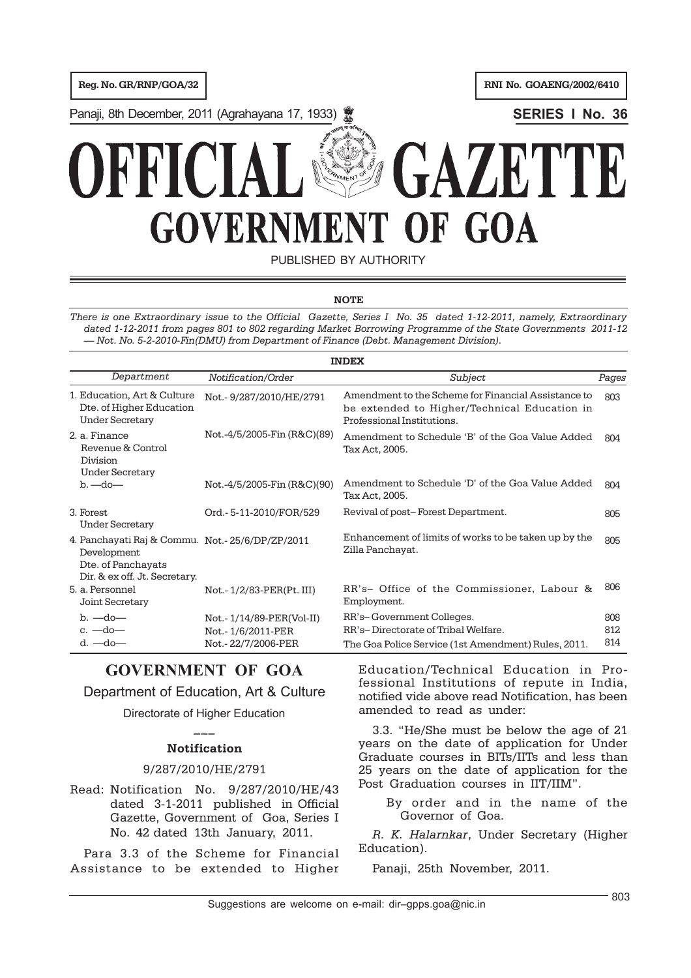**Reg. No. GR/RNP/GOA/32 Reg. No. GOAENG/2002/6410** 

Panaji, 8th December, 2011 (Agrahayana 17, 1933) **SERIES I No. 36**

# GAZET OF GOA **GOVERNMEN IT**

PUBLISHED BY AUTHORITY

# **NOTE**

*There is one Extraordinary issue to the Official Gazette, Series I No. 35 dated 1-12-2011, namely, Extraordinary dated 1-12-2011 from pages 801 to 802 regarding Market Borrowing Programme of the State Governments 2011-12 — Not. No. 5-2-2010-Fin(DMU) from Department of Finance (Debt. Management Division).*

| <b>INDEX</b>                                                                                                          |                                                                     |                                                                                                                                   |                   |  |  |  |
|-----------------------------------------------------------------------------------------------------------------------|---------------------------------------------------------------------|-----------------------------------------------------------------------------------------------------------------------------------|-------------------|--|--|--|
| Department                                                                                                            | Notification/Order                                                  | Subject                                                                                                                           | Pages             |  |  |  |
| 1. Education, Art & Culture<br>Dte. of Higher Education<br><b>Under Secretary</b>                                     | Not.-9/287/2010/HE/2791                                             | Amendment to the Scheme for Financial Assistance to<br>be extended to Higher/Technical Education in<br>Professional Institutions. | 803               |  |  |  |
| 2. a. Finance<br>Revenue & Control<br>Division<br><b>Under Secretary</b>                                              | Not.-4/5/2005-Fin (R&C)(89)                                         | Amendment to Schedule 'B' of the Goa Value Added<br>Tax Act, 2005.                                                                | 804               |  |  |  |
| $b - do -$                                                                                                            | Not.-4/5/2005-Fin (R&C)(90)                                         | Amendment to Schedule 'D' of the Goa Value Added<br>Tax Act, 2005.                                                                | 804               |  |  |  |
| 3. Forest<br><b>Under Secretary</b>                                                                                   | Ord.-5-11-2010/FOR/529                                              | Revival of post-Forest Department.                                                                                                | 805               |  |  |  |
| 4. Panchayati Raj & Commu. Not.-25/6/DP/ZP/2011<br>Development<br>Dte. of Panchayats<br>Dir. & ex off. Jt. Secretary. |                                                                     | Enhancement of limits of works to be taken up by the<br>Zilla Panchayat.                                                          | 805               |  |  |  |
| 5. a. Personnel<br>Joint Secretary                                                                                    | Not. - 1/2/83-PER(Pt. III)                                          | RR's- Office of the Commissioner, Labour &<br>Employment.                                                                         | 806               |  |  |  |
| $b. -do -$<br>$c. -do -$<br>$d. -do -$                                                                                | Not.-1/14/89-PER(Vol-II)<br>Not.-1/6/2011-PER<br>Not.-22/7/2006-PER | RR's-Government Colleges.<br>RR's-Directorate of Tribal Welfare.<br>The Goa Police Service (1st Amendment) Rules, 2011.           | 808<br>812<br>814 |  |  |  |

# **GOVERNMENT OF GOA**

Department of Education, Art & Culture

Directorate of Higher Education **\_\_\_**

# **Notification**

# 9/287/2010/HE/2791

Read: Notification No. 9/287/2010/HE/43 dated 3-1-2011 published in Official Gazette, Government of Goa, Series I No. 42 dated 13th January, 2011.

Para 3.3 of the Scheme for Financial Assistance to be extended to Higher Education/Technical Education in Professional Institutions of repute in India, notified vide above read Notification, has been amended to read as under:

3.3. "He/She must be below the age of 21 years on the date of application for Under Graduate courses in BITs/IITs and less than 25 years on the date of application for the Post Graduation courses in IIT/IIM".

By order and in the name of the Governor of Goa.

*R. K. Halarnkar*, Under Secretary (Higher Education).

Panaji, 25th November, 2011.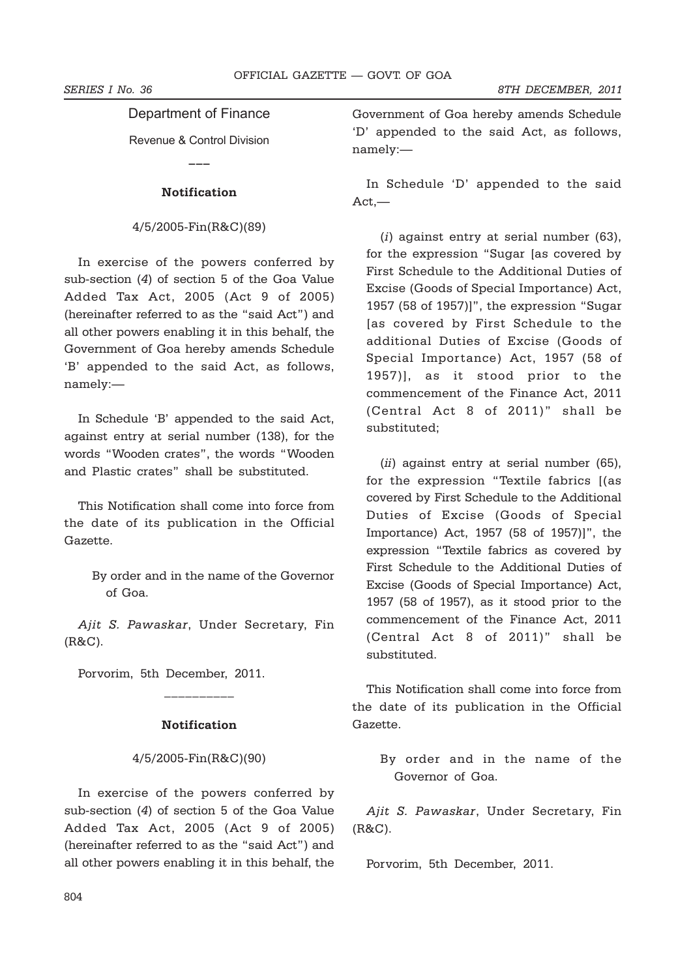# Department of Finance

Revenue & Control Division

**\_\_\_**

# **Notification**

# 4/5/2005-Fin(R&C)(89)

In exercise of the powers conferred by sub-section (*4*) of section 5 of the Goa Value Added Tax Act, 2005 (Act 9 of 2005) (hereinafter referred to as the "said Act") and all other powers enabling it in this behalf, the Government of Goa hereby amends Schedule 'B' appended to the said Act, as follows, namely:—

In Schedule 'B' appended to the said Act, against entry at serial number (138), for the words "Wooden crates", the words "Wooden and Plastic crates" shall be substituted.

This Notification shall come into force from the date of its publication in the Official Gazette.

> By order and in the name of the Governor of Goa.

*Ajit S. Pawaskar*, Under Secretary, Fin (R&C).

Porvorim, 5th December, 2011.

# **Notification**

\_\_\_\_\_\_\_\_\_\_

# 4/5/2005-Fin(R&C)(90)

In exercise of the powers conferred by sub-section (*4*) of section 5 of the Goa Value Added Tax Act, 2005 (Act 9 of 2005) (hereinafter referred to as the "said Act") and all other powers enabling it in this behalf, the

Government of Goa hereby amends Schedule 'D' appended to the said Act, as follows, namely:—

In Schedule 'D' appended to the said Act,—

(*i*) against entry at serial number (63), for the expression "Sugar [as covered by First Schedule to the Additional Duties of Excise (Goods of Special Importance) Act, 1957 (58 of 1957)]", the expression "Sugar [as covered by First Schedule to the additional Duties of Excise (Goods of Special Importance) Act, 1957 (58 of 1957)], as it stood prior to the commencement of the Finance Act, 2011 (Central Act 8 of 2011)" shall be substituted;

(*ii*) against entry at serial number (65), for the expression "Textile fabrics [(as covered by First Schedule to the Additional Duties of Excise (Goods of Special Importance) Act, 1957 (58 of 1957)]", the expression "Textile fabrics as covered by First Schedule to the Additional Duties of Excise (Goods of Special Importance) Act, 1957 (58 of 1957), as it stood prior to the commencement of the Finance Act, 2011 (Central Act 8 of 2011)" shall be substituted.

This Notification shall come into force from the date of its publication in the Official Gazette.

> By order and in the name of the Governor of Goa.

*Ajit S. Pawaskar*, Under Secretary, Fin (R&C).

Porvorim, 5th December, 2011.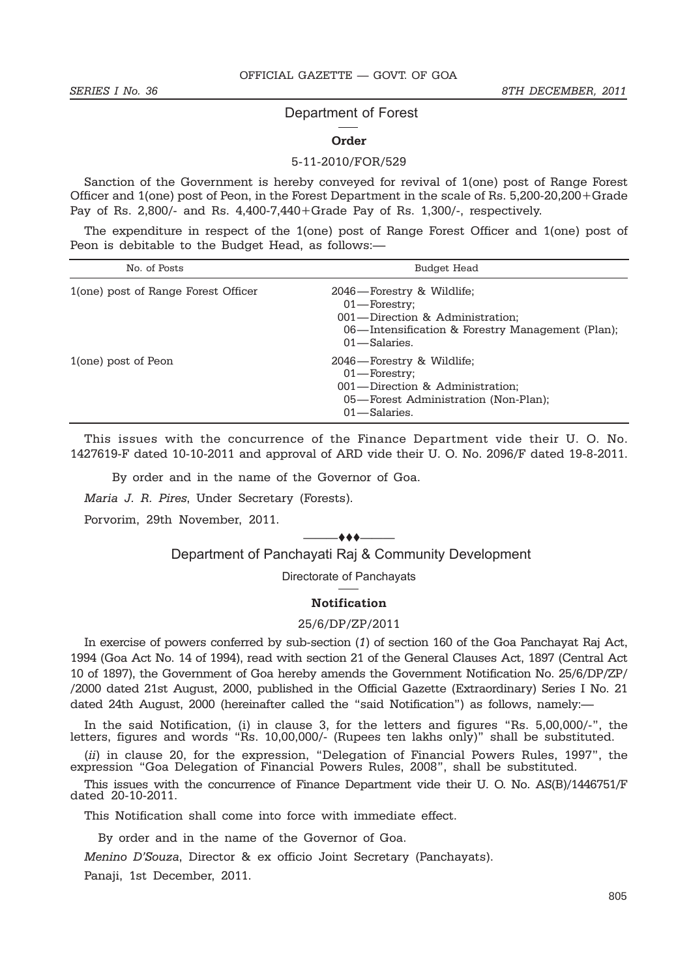# Department of Forest

### **Order**

## 5-11-2010/FOR/529

Sanction of the Government is hereby conveyed for revival of 1(one) post of Range Forest Officer and 1(one) post of Peon, in the Forest Department in the scale of Rs. 5,200-20,200+Grade Pay of Rs. 2,800/- and Rs. 4,400-7,440+Grade Pay of Rs. 1,300/-, respectively.

The expenditure in respect of the 1(one) post of Range Forest Officer and 1(one) post of Peon is debitable to the Budget Head, as follows:—

| No. of Posts                        | Budget Head                                                                                                                                             |
|-------------------------------------|---------------------------------------------------------------------------------------------------------------------------------------------------------|
| 1(one) post of Range Forest Officer | 2046—Forestry & Wildlife;<br>$01$ —Forestry;<br>001-Direction & Administration;<br>06—Intensification & Forestry Management (Plan);<br>$01$ - Salaries. |
| 1(one) post of Peon                 | 2046—Forestry & Wildlife;<br>$01$ —Forestry;<br>001—Direction & Administration;<br>05—Forest Administration (Non-Plan);<br>$01$ —Salaries.              |

This issues with the concurrence of the Finance Department vide their U. O. No. 1427619-F dated 10-10-2011 and approval of ARD vide their U. O. No. 2096/F dated 19-8-2011.

By order and in the name of the Governor of Goa.

*Maria J. R. Pires*, Under Secretary (Forests).

Porvorim, 29th November, 2011.

#### $-$  + +  $-$

# Department of Panchayati Raj & Community Development

Directorate of Panchayats

# **Notification**

### 25/6/DP/ZP/2011

In exercise of powers conferred by sub-section (*1*) of section 160 of the Goa Panchayat Raj Act, 1994 (Goa Act No. 14 of 1994), read with section 21 of the General Clauses Act, 1897 (Central Act 10 of 1897), the Government of Goa hereby amends the Government Notification No. 25/6/DP/ZP/ /2000 dated 21st August, 2000, published in the Official Gazette (Extraordinary) Series I No. 21 dated 24th August, 2000 (hereinafter called the "said Notification") as follows, namely:-

In the said Notification, (i) in clause 3, for the letters and figures "Rs. 5,00,000/-", the letters, figures and words "Rs. 10,00,000/- (Rupees ten lakhs only)" shall be substituted.

(*ii*) in clause 20, for the expression, "Delegation of Financial Powers Rules, 1997", the expression "Goa Delegation of Financial Powers Rules, 2008", shall be substituted.

This issues with the concurrence of Finance Department vide their U. O. No. AS(B)/1446751/F dated 20-10-2011.

This Notification shall come into force with immediate effect.

By order and in the name of the Governor of Goa.

*Menino D'Souza*, Director & ex officio Joint Secretary (Panchayats).

Panaji, 1st December, 2011.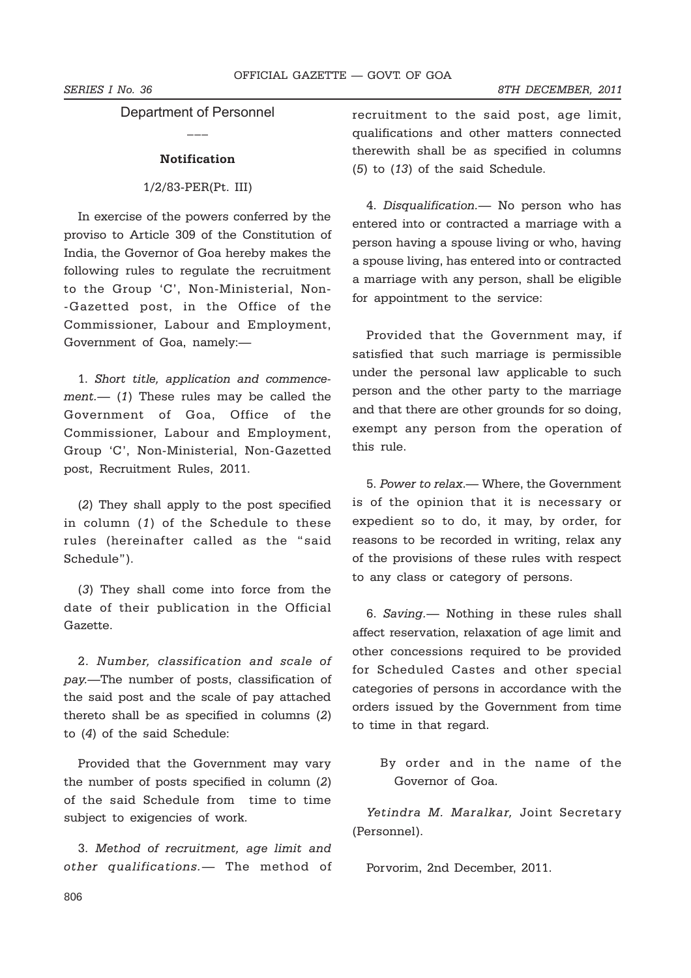Department of Personnel  $\mathcal{L}_\mathcal{L}$ 

## **Notification**

# 1/2/83-PER(Pt. III)

In exercise of the powers conferred by the proviso to Article 309 of the Constitution of India, the Governor of Goa hereby makes the following rules to regulate the recruitment to the Group 'C', Non-Ministerial, Non- -Gazetted post, in the Office of the Commissioner, Labour and Employment, Government of Goa, namely:—

1. *Short title, application and commencement.*— (*1*) These rules may be called the Government of Goa, Office of the Commissioner, Labour and Employment, Group 'C', Non-Ministerial, Non-Gazetted post, Recruitment Rules, 2011.

(*2*) They shall apply to the post specified in column (*1*) of the Schedule to these rules (hereinafter called as the "said Schedule").

(*3*) They shall come into force from the date of their publication in the Official Gazette.

2. *Number, classification and scale of pay.*—The number of posts, classification of the said post and the scale of pay attached thereto shall be as specified in columns (*2*) to (*4*) of the said Schedule:

Provided that the Government may vary the number of posts specified in column (*2*) of the said Schedule from time to time subject to exigencies of work.

3. *Method of recruitment, age limit and other qualifications.*— The method of recruitment to the said post, age limit, qualifications and other matters connected therewith shall be as specified in columns (*5*) to (*13*) of the said Schedule.

4. *Disqualification.*— No person who has entered into or contracted a marriage with a person having a spouse living or who, having a spouse living, has entered into or contracted a marriage with any person, shall be eligible for appointment to the service:

Provided that the Government may, if satisfied that such marriage is permissible under the personal law applicable to such person and the other party to the marriage and that there are other grounds for so doing, exempt any person from the operation of this rule.

5. *Power to relax*.— Where, the Government is of the opinion that it is necessary or expedient so to do, it may, by order, for reasons to be recorded in writing, relax any of the provisions of these rules with respect to any class or category of persons.

6. *Saving.*— Nothing in these rules shall affect reservation, relaxation of age limit and other concessions required to be provided for Scheduled Castes and other special categories of persons in accordance with the orders issued by the Government from time to time in that regard.

By order and in the name of the Governor of Goa.

*Yetindra M. Maralkar,* Joint Secretary (Personnel).

Porvorim, 2nd December, 2011.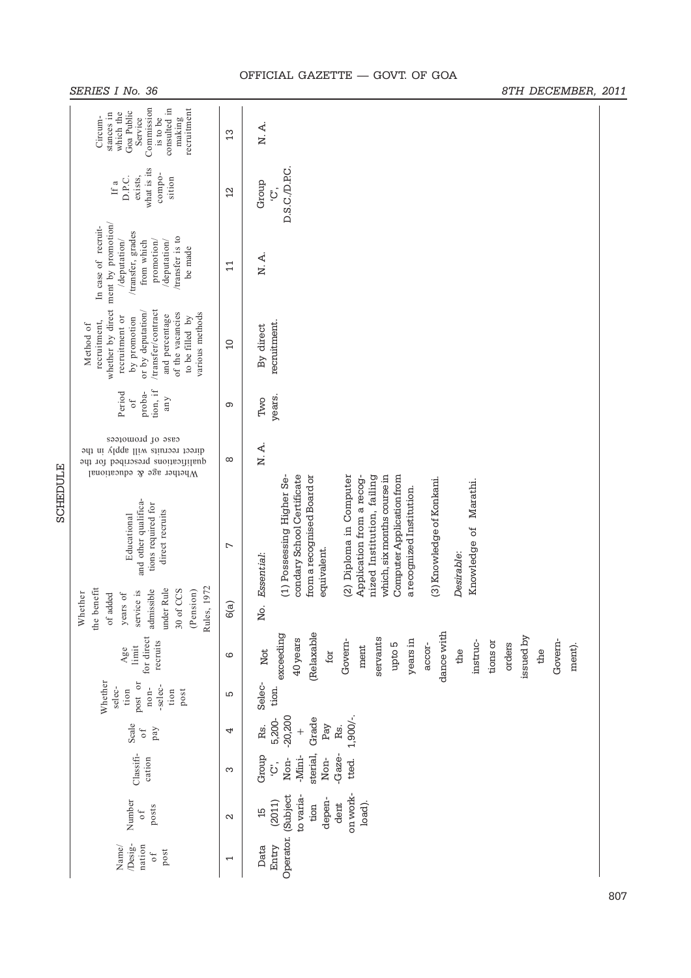|                 | Commission<br>recruitment<br>consulted in<br>Goa Public<br>stances in<br>which the<br>is to be<br>Circum-<br>Service<br>making                                                     | $\mathfrak{L}$    | N. A.                                                                                                                                                                                                                                                                                                                                                   |  |
|-----------------|------------------------------------------------------------------------------------------------------------------------------------------------------------------------------------|-------------------|---------------------------------------------------------------------------------------------------------------------------------------------------------------------------------------------------------------------------------------------------------------------------------------------------------------------------------------------------------|--|
|                 | what is its<br>compo-<br>D.P.C.<br>exists,<br>sition<br>If a                                                                                                                       | $^{12}$           | D.S.C./D.P.C.<br>Group<br>۬ڹٙ                                                                                                                                                                                                                                                                                                                           |  |
|                 | whether by direct ment by promotion/<br>In case of recruit-<br>/transfer, grades<br>/transfer is to<br>/deputation/<br>from which<br>/deputation/<br>promotion/<br>be made         | $\mathbf{1}$      | N.A.                                                                                                                                                                                                                                                                                                                                                    |  |
|                 | /transfer/contract<br>or by deputation/<br>of the vacancies<br>various methods<br>and percentage<br>recruitment or<br>to be filled by<br>by promotion<br>recruitment,<br>Method of | 10                | recruitment.<br>By direct                                                                                                                                                                                                                                                                                                                               |  |
|                 | tion, if<br>proba-<br>Period<br>any<br>$\circ$ f                                                                                                                                   | ၜ                 | years.<br>Two                                                                                                                                                                                                                                                                                                                                           |  |
| <b>SCHEDULE</b> | case of promotees<br>direct recruits will apply in the<br>qualifications prescribed for the<br>Whether age & educational                                                           | $\infty$          | N.A.                                                                                                                                                                                                                                                                                                                                                    |  |
|                 | and other qualifica-<br>tions required for<br>direct recruits<br>Educational                                                                                                       | $\overline{ }$    | condary School Certificate<br>from a recognised Board or<br>(2) Diploma in Computer<br>Computer Application from<br>(1) Possessing Higher Se-<br>nized Institution, failing<br>which, six months course in<br>Application from a recog-<br>(3) Knowledge of Konkani.<br>Knowledge of Marathi.<br>a recognized Institution.<br>equivalent.<br>Desirable: |  |
|                 | Rules, 1972<br>the benefit<br>under Rule<br>admissible<br>30 of CCS<br>(Pension)<br>service is<br>Whether<br>years of<br>of added                                                  | 6(a)              | No. Essential:                                                                                                                                                                                                                                                                                                                                          |  |
|                 | for direct<br>recruits<br>limit<br>Age                                                                                                                                             | ဖ                 | dance with<br>(Relaxable<br>exceeding<br>issued by<br>servants<br>40 years<br>years in<br>Govern-<br>Govem-<br>instruc-<br>tions or<br>orders<br>upto 5<br>accor-<br>ment).<br>ment<br>the<br>the<br>Not<br>for                                                                                                                                         |  |
|                 | Whether<br>post or<br>-selec-<br>selec-<br>$n$ on-<br>tion<br>tion<br>post                                                                                                         | Б                 | Selec-<br>tion.                                                                                                                                                                                                                                                                                                                                         |  |
|                 | Scale<br>pay<br>$\sigma f$                                                                                                                                                         | 4                 | $-20,200$<br>$1,900/-$<br>Grade<br>5,200-<br>Pay<br>Rs.<br>Rs.<br>$\ddot{}$                                                                                                                                                                                                                                                                             |  |
|                 | Classifi-<br>cation                                                                                                                                                                | S                 | -Gaze-<br>Group<br>sterial,<br>-Mini-<br>Non-<br>Non-<br>tted.<br>ؘۛڹٙ                                                                                                                                                                                                                                                                                  |  |
|                 | Number<br>posts<br>0f                                                                                                                                                              | $\mathbf{\Omega}$ | on work-<br>(Subject<br>to varia-<br>depen-<br>(2011)<br>load).<br>dent<br>tion<br>15                                                                                                                                                                                                                                                                   |  |
|                 | Desig-<br>nation<br>Name/<br>post<br>0f                                                                                                                                            | ſ                 | Operator.<br>Data<br>Entry                                                                                                                                                                                                                                                                                                                              |  |

# OFFICIAL GAZETTE — GOVT. OF GOA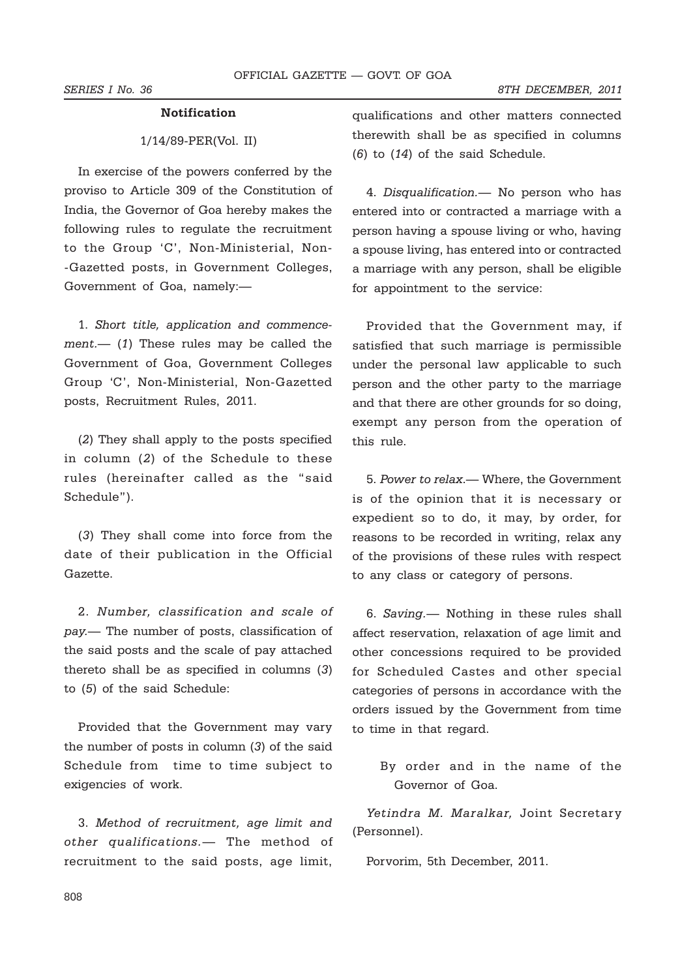# **Notification**

# 1/14/89-PER(Vol. II)

In exercise of the powers conferred by the proviso to Article 309 of the Constitution of India, the Governor of Goa hereby makes the following rules to regulate the recruitment to the Group 'C', Non-Ministerial, Non- -Gazetted posts, in Government Colleges, Government of Goa, namely:—

1. *Short title, application and commencement.*— (*1*) These rules may be called the Government of Goa, Government Colleges Group 'C', Non-Ministerial, Non-Gazetted posts, Recruitment Rules, 2011.

(*2*) They shall apply to the posts specified in column (*2*) of the Schedule to these rules (hereinafter called as the "said Schedule").

(*3*) They shall come into force from the date of their publication in the Official Gazette.

2. *Number, classification and scale of pay.*— The number of posts, classification of the said posts and the scale of pay attached thereto shall be as specified in columns (*3*) to (*5*) of the said Schedule:

Provided that the Government may vary the number of posts in column (*3*) of the said Schedule from time to time subject to exigencies of work.

3. *Method of recruitment, age limit and other qualifications.*— The method of recruitment to the said posts, age limit, qualifications and other matters connected therewith shall be as specified in columns (*6*) to (*14*) of the said Schedule.

4. *Disqualification.*— No person who has entered into or contracted a marriage with a person having a spouse living or who, having a spouse living, has entered into or contracted a marriage with any person, shall be eligible for appointment to the service:

Provided that the Government may, if satisfied that such marriage is permissible under the personal law applicable to such person and the other party to the marriage and that there are other grounds for so doing, exempt any person from the operation of this rule.

5. *Power to relax*.— Where, the Government is of the opinion that it is necessary or expedient so to do, it may, by order, for reasons to be recorded in writing, relax any of the provisions of these rules with respect to any class or category of persons.

6. *Saving.*— Nothing in these rules shall affect reservation, relaxation of age limit and other concessions required to be provided for Scheduled Castes and other special categories of persons in accordance with the orders issued by the Government from time to time in that regard.

By order and in the name of the Governor of Goa.

*Yetindra M. Maralkar,* Joint Secretary (Personnel).

Porvorim, 5th December, 2011.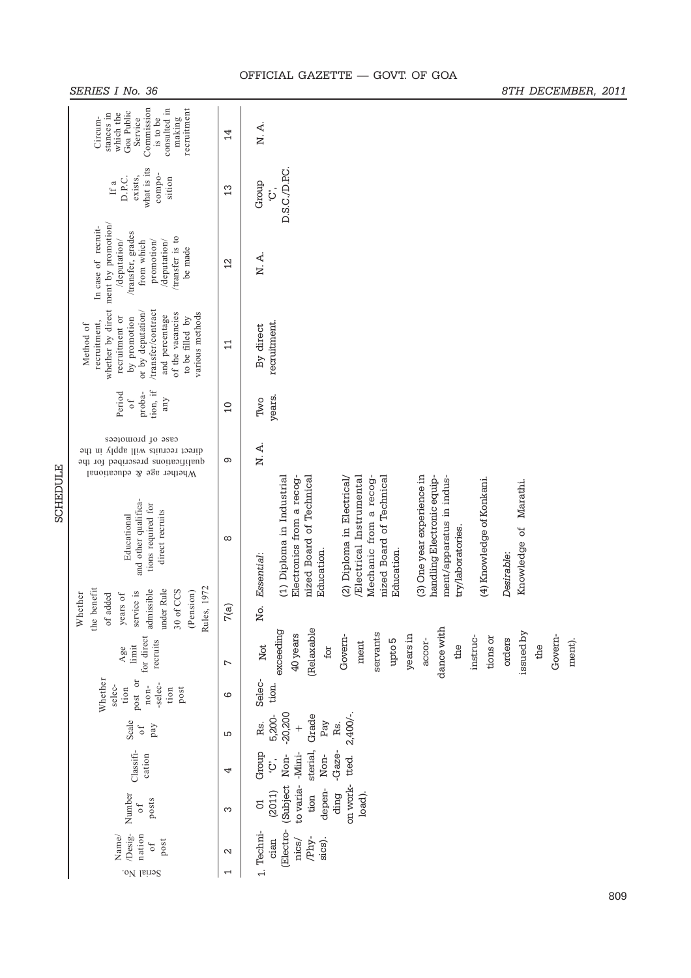|          | Commission<br>recruitment<br>consulted in<br>Goa Public<br>stances in<br>which the<br>Circum-<br>Service<br>is to be<br>making                                                     | 14                   | N.A.                                                                                                                                                                                                                                                                                                                                                                                                                             |  |  |  |  |
|----------|------------------------------------------------------------------------------------------------------------------------------------------------------------------------------------|----------------------|----------------------------------------------------------------------------------------------------------------------------------------------------------------------------------------------------------------------------------------------------------------------------------------------------------------------------------------------------------------------------------------------------------------------------------|--|--|--|--|
|          | what is its<br>compo-<br>D.P.C.<br>exists,<br>sition<br>If a                                                                                                                       | 13                   | D.S.C./D.P.C.<br>Group<br>ڗ۬                                                                                                                                                                                                                                                                                                                                                                                                     |  |  |  |  |
|          | whether by direct ment by promotion/<br>In case of recruit-<br>/transfer, grades<br>/transfer is to<br>/deputation/<br>/deputation/<br>promotion/<br>from which<br>be made         | $\overline{2}$       | N. A.                                                                                                                                                                                                                                                                                                                                                                                                                            |  |  |  |  |
|          | /transfer/contract<br>or by deputation/<br>of the vacancies<br>various methods<br>and percentage<br>recruitment or<br>by promotion<br>to be filled by<br>recruitment,<br>Method of | $\Xi$                | recruitment.<br>By direct                                                                                                                                                                                                                                                                                                                                                                                                        |  |  |  |  |
|          | tion, if<br>proba-<br>Period<br>any<br>0f                                                                                                                                          | $\overline{0}$       | years.<br>Two                                                                                                                                                                                                                                                                                                                                                                                                                    |  |  |  |  |
|          | case of promotees<br>direct recruits will apply in the<br>Θ<br>qualifications prescribed for the<br>Whether age & educational                                                      | N.A.                 |                                                                                                                                                                                                                                                                                                                                                                                                                                  |  |  |  |  |
| SCHEDULE | and other qualifica-<br>tions required for<br>direct recruits<br>Educational                                                                                                       | $\infty$             | (1) Diploma in Industrial<br>nized Board of Technical<br>/Electrical Instrumental<br>(3) One year experience in<br>Mechanic from a recog-<br>nized Board of Technical<br>(2) Diploma in Electrical/<br>ment/apparatus in indus-<br>Electronics from a recog-<br>handling Electronic equip-<br>(4) Knowledge of Konkani.<br>Marathi.<br>Knowledge of<br>try/laboratories.<br>Education.<br>Education.<br>Desirable:<br>Essential: |  |  |  |  |
|          | Rules, 1972<br>the benefit<br><b>inder Rule</b><br>admissible<br>30 of CCS<br>(Pension)<br>service is<br>Whether<br>years of<br>of added                                           | 7(a)                 | Νo.                                                                                                                                                                                                                                                                                                                                                                                                                              |  |  |  |  |
|          | for direct<br>recruits<br>limit<br>Age                                                                                                                                             | $\overline{ }$       | exceeding<br>(Relaxable<br>dance with<br>issued by<br>servants<br>40 years<br>years in<br>Govem-<br>Govem-<br>instruc-<br>tions or<br>accor-<br>upto 5<br>orders<br>ment).<br>ment<br>Not<br>the<br>the<br>for                                                                                                                                                                                                                   |  |  |  |  |
|          | Whether<br>post or<br>-selec-<br>$non-$<br>selec-<br>tion<br>tion<br>post                                                                                                          | ဖ                    | Selec-<br>tion.                                                                                                                                                                                                                                                                                                                                                                                                                  |  |  |  |  |
|          | Scale<br>pay<br>$\sigma f$                                                                                                                                                         | S                    | $-20,200$<br>$2,400/-$<br>Grade<br>5,200-<br>Rs.<br>Pay<br>Rs.<br>$^{+}$                                                                                                                                                                                                                                                                                                                                                         |  |  |  |  |
|          | Classifi-<br>cation                                                                                                                                                                | 4                    | Group<br>-Gaze-<br>sterial.<br>-Mini-<br>Non-<br>Non-<br>tted.<br>۬ڹٙ                                                                                                                                                                                                                                                                                                                                                            |  |  |  |  |
|          | Number<br>posts<br>$\circ$ f                                                                                                                                                       | S                    | (Subject<br>to varia-<br>on work-<br>depen-<br>(2011)<br>tion<br>ding<br>load).<br>$\delta$                                                                                                                                                                                                                                                                                                                                      |  |  |  |  |
|          | /Desig-<br>nation<br>Name/<br>post<br>0f<br>Serial No.                                                                                                                             | $\mathbf{\sim}$<br>1 | (Electro-<br>1. Techni-<br>/Phy-<br>cian<br>sics).<br>nics/                                                                                                                                                                                                                                                                                                                                                                      |  |  |  |  |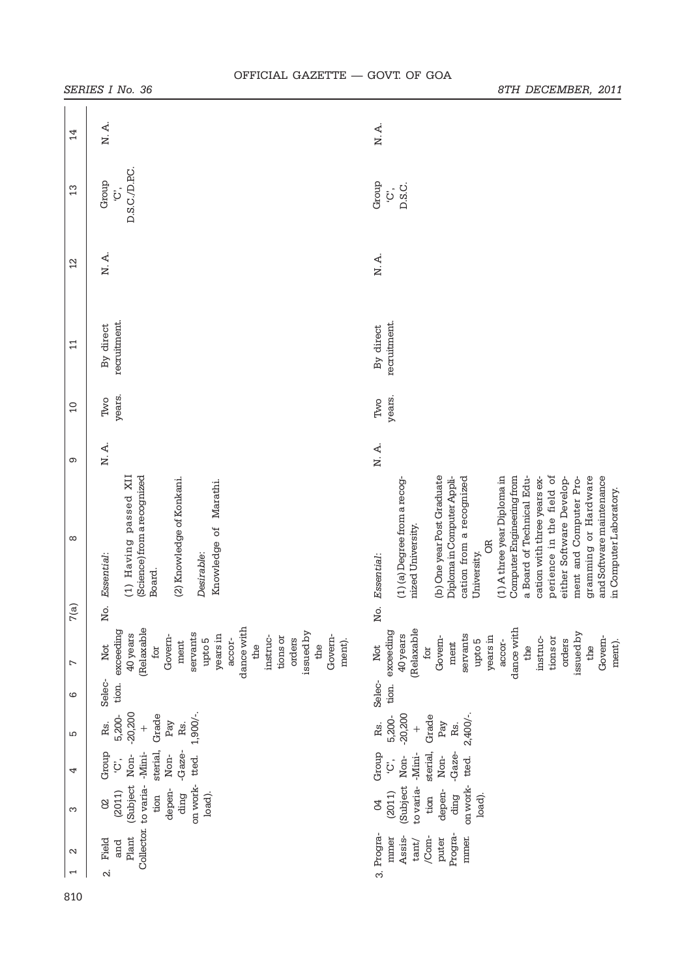|                                         | י <i>י ישב</i> טובט                                                                                                                                                                                            | <i>,,,,,,,,,,,,,,,,,,,,</i>                                                                                                                                                                                                                                                                                                                                                                                                                                                 |
|-----------------------------------------|----------------------------------------------------------------------------------------------------------------------------------------------------------------------------------------------------------------|-----------------------------------------------------------------------------------------------------------------------------------------------------------------------------------------------------------------------------------------------------------------------------------------------------------------------------------------------------------------------------------------------------------------------------------------------------------------------------|
| 14                                      | $N. A.$                                                                                                                                                                                                        | N.A.                                                                                                                                                                                                                                                                                                                                                                                                                                                                        |
| 13                                      | D.S.C./D.P.C.<br>Group<br>$\ddot{\mathcal{G}}$                                                                                                                                                                 | Group<br>D.S.C.<br>$\ddot{Q}$                                                                                                                                                                                                                                                                                                                                                                                                                                               |
| $\overline{2}$                          | N. A.                                                                                                                                                                                                          | N.A.                                                                                                                                                                                                                                                                                                                                                                                                                                                                        |
| $\Xi$                                   | recruitment.<br>By direct                                                                                                                                                                                      | recruitment.<br>By direct                                                                                                                                                                                                                                                                                                                                                                                                                                                   |
| $\overline{0}$                          | years.<br>Two                                                                                                                                                                                                  | years.<br>Two                                                                                                                                                                                                                                                                                                                                                                                                                                                               |
| Φ                                       | N.A.                                                                                                                                                                                                           | N.A.                                                                                                                                                                                                                                                                                                                                                                                                                                                                        |
| ∞                                       | (Science) from a recognized<br>(1) Having passed XII<br>(2) Knowledge of Konkani.<br>Knowledge of Marathi.<br>Desirable:<br>Essential:<br>Board.                                                               | perience in the field of<br>(b) One year Post Graduate<br>(1) A three year Diploma in<br>Computer Engineering from<br>and Software maintenance<br>cation from a recognized<br>a Board of Technical Edu-<br>gramming or Hardware<br>either Software Develop-<br>ment and Computer Pro-<br>cation with three years ex-<br>(1) (a) Degree from a recog-<br>Diploma in Computer Appli-<br>in Computer Laboratory.<br>nized University.<br><b>B</b><br>University.<br>Essential: |
| $\widehat{\mathfrak{a}}$<br>$\breve{r}$ | Йó.                                                                                                                                                                                                            | No.                                                                                                                                                                                                                                                                                                                                                                                                                                                                         |
| L                                       | dance with<br>(Relaxable<br>exceeding<br>issued by<br>servants<br>40 years<br>years in<br>Govem-<br>Govem-<br>tions or<br>instruc-<br>upto 5<br>orders<br>accor-<br>ment).<br>ment<br>the<br>for<br>the<br>Not | (Relaxable<br>dance with<br>exceeding<br>issued by<br>servants<br>40 years<br>years in<br>Govern-<br>Govem-<br>tions or<br>instruc-<br>orders<br>upto 5<br>accor-<br>ment).<br>ment<br>the<br>the<br>for<br>Not                                                                                                                                                                                                                                                             |
| ဖ                                       | Selec-<br>tion.                                                                                                                                                                                                | Selec-<br>tion.                                                                                                                                                                                                                                                                                                                                                                                                                                                             |
| 5                                       | $-20,200$<br>$1,900/-$<br>Grade<br>5,200-<br>Pay<br>Rs.<br>Rs.<br>$^{+}$                                                                                                                                       | $2,400/-$<br>$-20,200$<br>Grade<br>5,200-<br>Rs.<br>Pay<br>Rs.<br>$^{+}$                                                                                                                                                                                                                                                                                                                                                                                                    |
| 4                                       | sterial,<br>-Gaze-<br>Group<br>-Mini-<br>Non-<br>Non-<br>tted.<br>$\ddot{c}$                                                                                                                                   | Group<br>sterial,<br>-Gaze-<br>-Mini-<br>Non-<br>Non-<br>tted.<br>$\ddot{c}$                                                                                                                                                                                                                                                                                                                                                                                                |
| ω                                       | (Subject<br>on work-<br>to varia-<br>depen-<br>(2011)<br>load).<br>tion<br>ding<br>$\infty$                                                                                                                    | (Subject<br>on work-<br>to varia-<br>depen-<br>(2011)<br>ding<br>tion<br>load).<br>Å                                                                                                                                                                                                                                                                                                                                                                                        |
| $\mathbf{\sim}$<br>1                    | Collector.<br>Plant<br>Field<br>and<br>$\overline{\mathcal{N}}$                                                                                                                                                | 3. Progra-<br>Progra-<br>/Com-<br>Assis-<br>mmer<br>mmer.<br>puter<br>$\tan t$                                                                                                                                                                                                                                                                                                                                                                                              |

# OFFICIAL GAZETTE — GOVT. OF GOA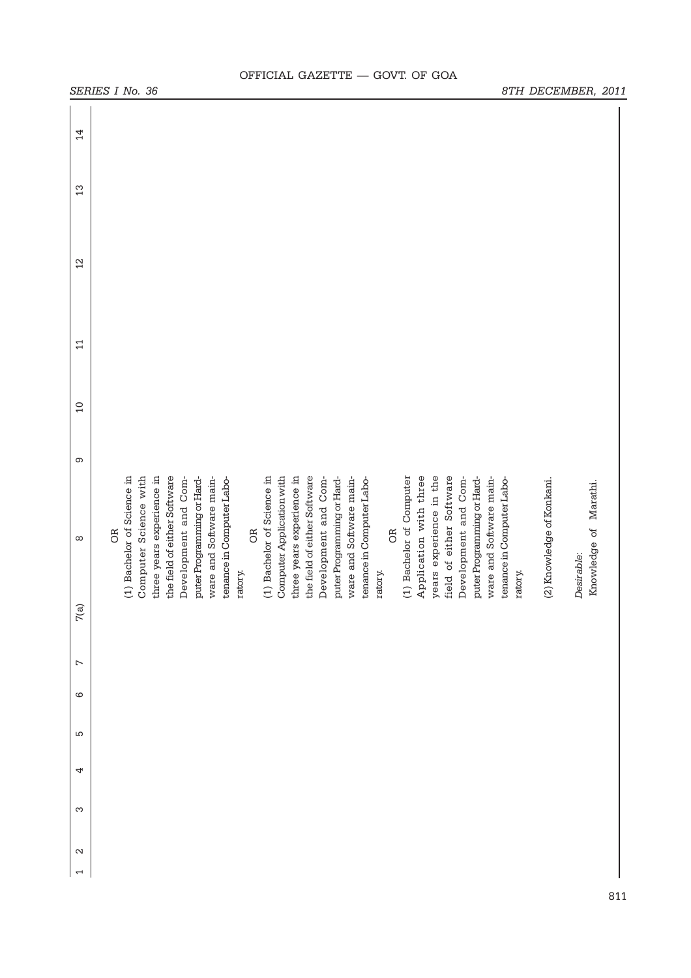| SERIES I No. 36                                                                                                                                                                                                                                                                                                                                                                                                                                                                                                                                                                                                                                                                                                                           |                                      | 8TH DECEMBER, 2011                                               |  |
|-------------------------------------------------------------------------------------------------------------------------------------------------------------------------------------------------------------------------------------------------------------------------------------------------------------------------------------------------------------------------------------------------------------------------------------------------------------------------------------------------------------------------------------------------------------------------------------------------------------------------------------------------------------------------------------------------------------------------------------------|--------------------------------------|------------------------------------------------------------------|--|
| 14                                                                                                                                                                                                                                                                                                                                                                                                                                                                                                                                                                                                                                                                                                                                        |                                      |                                                                  |  |
| 13                                                                                                                                                                                                                                                                                                                                                                                                                                                                                                                                                                                                                                                                                                                                        |                                      |                                                                  |  |
| $2 \overline{2}$                                                                                                                                                                                                                                                                                                                                                                                                                                                                                                                                                                                                                                                                                                                          |                                      |                                                                  |  |
| $\Xi$                                                                                                                                                                                                                                                                                                                                                                                                                                                                                                                                                                                                                                                                                                                                     |                                      |                                                                  |  |
| $\overline{a}$                                                                                                                                                                                                                                                                                                                                                                                                                                                                                                                                                                                                                                                                                                                            |                                      |                                                                  |  |
| ၜ                                                                                                                                                                                                                                                                                                                                                                                                                                                                                                                                                                                                                                                                                                                                         |                                      |                                                                  |  |
| Computer Application with<br>three years experience in<br>(1) Bachelor of Science in<br>Computer Science with<br>three years experience in<br>the field of either Software<br>(1) Bachelor of Science in<br>the field of either Software<br>(1) Bachelor of Computer<br>Application with three<br>years experience in the<br>field of either Software<br>Development and Com-<br>puter Programming or Hard-<br>ware and Software main-<br>Development and Com-<br>ware and Software main-<br>puter Programming or Hard-<br>ware and Software main-<br>Development and Com-<br>puter Programming or Hard-<br>tenance in Computer Labo-<br>tenance in Computer Labo-<br><b>B</b><br><b>B</b><br><b>OR</b><br>$\infty$<br>ratory.<br>ratory. | tenance in Computer Labo-<br>ratory. | (2) Knowledge of Konkani.<br>Knowledge of Marathi.<br>Desirable: |  |
| 7(a)                                                                                                                                                                                                                                                                                                                                                                                                                                                                                                                                                                                                                                                                                                                                      |                                      |                                                                  |  |
| $\overline{ }$                                                                                                                                                                                                                                                                                                                                                                                                                                                                                                                                                                                                                                                                                                                            |                                      |                                                                  |  |
| $\circ$                                                                                                                                                                                                                                                                                                                                                                                                                                                                                                                                                                                                                                                                                                                                   |                                      |                                                                  |  |
| LO                                                                                                                                                                                                                                                                                                                                                                                                                                                                                                                                                                                                                                                                                                                                        |                                      |                                                                  |  |
| 4                                                                                                                                                                                                                                                                                                                                                                                                                                                                                                                                                                                                                                                                                                                                         |                                      |                                                                  |  |
| S                                                                                                                                                                                                                                                                                                                                                                                                                                                                                                                                                                                                                                                                                                                                         |                                      |                                                                  |  |
| $\mathbf{\Omega}$                                                                                                                                                                                                                                                                                                                                                                                                                                                                                                                                                                                                                                                                                                                         |                                      |                                                                  |  |
| $\overline{\phantom{0}}$                                                                                                                                                                                                                                                                                                                                                                                                                                                                                                                                                                                                                                                                                                                  |                                      |                                                                  |  |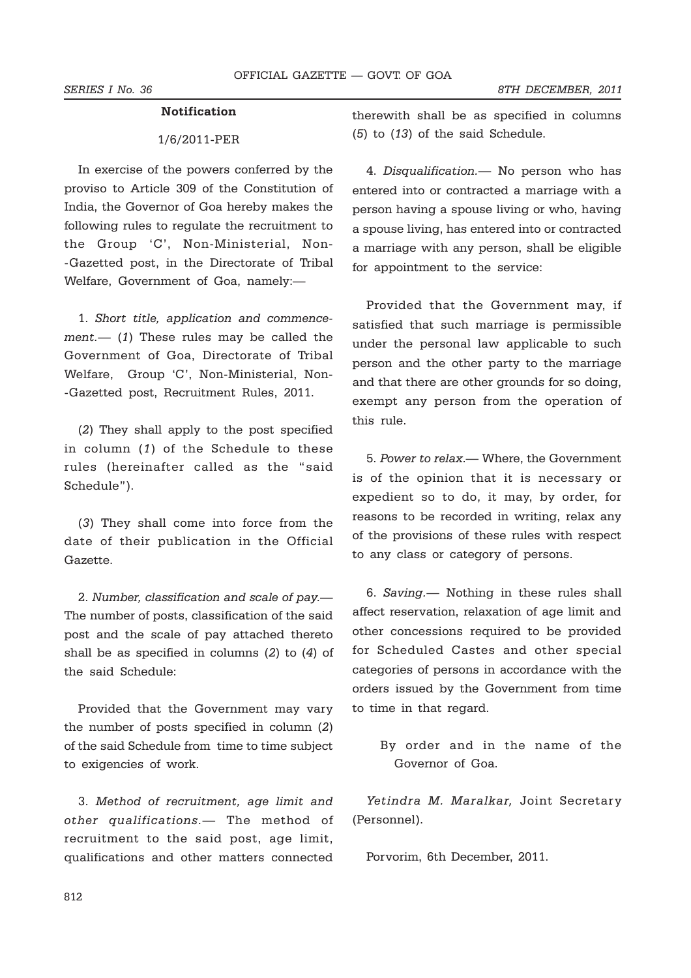# **Notification**

# 1/6/2011-PER

In exercise of the powers conferred by the proviso to Article 309 of the Constitution of India, the Governor of Goa hereby makes the following rules to regulate the recruitment to the Group 'C', Non-Ministerial, Non- -Gazetted post, in the Directorate of Tribal Welfare, Government of Goa, namely:—

1. *Short title, application and commencement.*— (*1*) These rules may be called the Government of Goa, Directorate of Tribal Welfare, Group 'C', Non-Ministerial, Non- -Gazetted post, Recruitment Rules, 2011.

(*2*) They shall apply to the post specified in column (*1*) of the Schedule to these rules (hereinafter called as the "said Schedule").

(*3*) They shall come into force from the date of their publication in the Official Gazette.

2. *Number, classification and scale of pay.*— The number of posts, classification of the said post and the scale of pay attached thereto shall be as specified in columns (*2*) to (*4*) of the said Schedule:

Provided that the Government may vary the number of posts specified in column (*2*) of the said Schedule from time to time subject to exigencies of work.

3. *Method of recruitment, age limit and other qualifications.*— The method of recruitment to the said post, age limit, qualifications and other matters connected therewith shall be as specified in columns (*5*) to (*13*) of the said Schedule.

4. *Disqualification.*— No person who has entered into or contracted a marriage with a person having a spouse living or who, having a spouse living, has entered into or contracted a marriage with any person, shall be eligible for appointment to the service:

Provided that the Government may, if satisfied that such marriage is permissible under the personal law applicable to such person and the other party to the marriage and that there are other grounds for so doing, exempt any person from the operation of this rule.

5. *Power to relax*.— Where, the Government is of the opinion that it is necessary or expedient so to do, it may, by order, for reasons to be recorded in writing, relax any of the provisions of these rules with respect to any class or category of persons.

6. *Saving.*— Nothing in these rules shall affect reservation, relaxation of age limit and other concessions required to be provided for Scheduled Castes and other special categories of persons in accordance with the orders issued by the Government from time to time in that regard.

By order and in the name of the Governor of Goa.

*Yetindra M. Maralkar,* Joint Secretary (Personnel).

Porvorim, 6th December, 2011.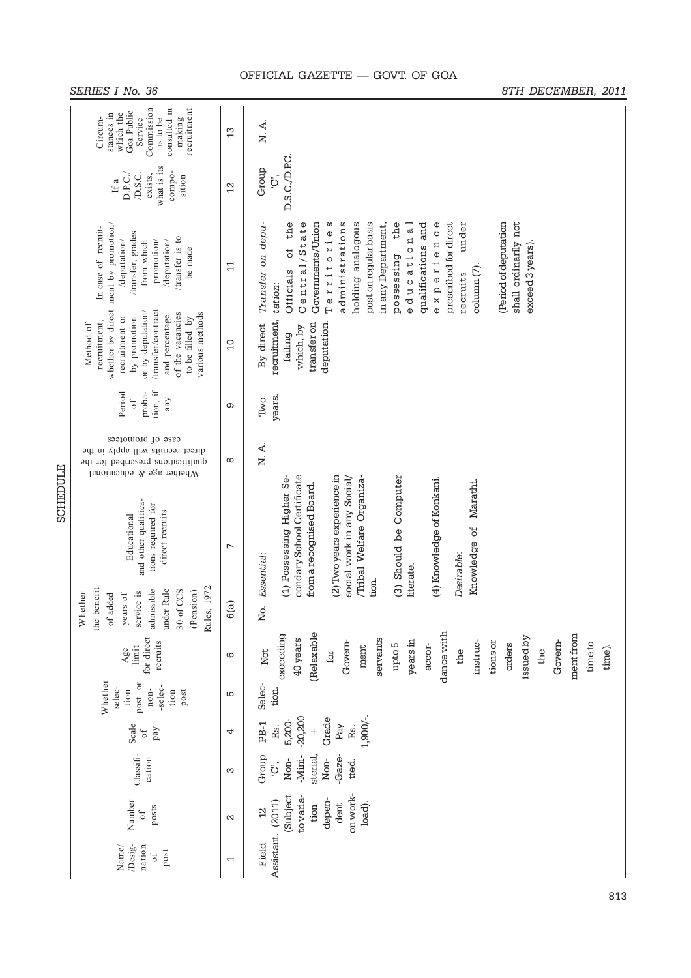|                 | SERIES I No. 36                                                                                                                                                                    |                          | 8TH DECEMBER, 2011                                                                                                                                                                                                                                                                                                                                                                                        |
|-----------------|------------------------------------------------------------------------------------------------------------------------------------------------------------------------------------|--------------------------|-----------------------------------------------------------------------------------------------------------------------------------------------------------------------------------------------------------------------------------------------------------------------------------------------------------------------------------------------------------------------------------------------------------|
|                 | Commission<br>recruitment<br>consulted in<br>Goa Public<br>which the<br>stances in<br>Circum-<br>Service<br>making<br>is to be                                                     | 13                       | N.A.                                                                                                                                                                                                                                                                                                                                                                                                      |
|                 | what is its<br>compo-<br>D.S.C.<br>exists,<br>D.P.C.<br>sition<br>If a                                                                                                             | $\overline{2}$           | D.S.C./D.P.C.<br>Group<br>ڹٙ                                                                                                                                                                                                                                                                                                                                                                              |
|                 | whether by direct ment by promotion/<br>In case of recruit-<br>/transfer, grades<br>transfer is to<br>promotion/<br>/deputation/<br>from which<br>/deputation/<br>be made          | $\overline{11}$          | of the<br>Central/State<br>Territories<br>(Period of deputation<br>Transfer on depu-<br>administrations<br>holding analogous<br>post on regular basis<br>in any Department,<br>the<br>qualifications and<br>experience<br>shall ordinarily not<br>Governments/Union<br>educational<br>prescribed for direct<br>under<br>exceed 3 years).<br>possessing<br>column (7).<br>Officials<br>recruits<br>tation: |
|                 | /transfer/contract<br>or by deputation/<br>of the vacancies<br>various methods<br>and percentage<br>recruitment or<br>by promotion<br>to be filled by<br>recruitment,<br>Method of | $\overline{a}$           | recruitment,<br>deputation.<br>transfer on<br>By direct<br>which, by<br>failing                                                                                                                                                                                                                                                                                                                           |
|                 | tion, if<br>proba-<br>Period<br>any<br>$\circ$ f                                                                                                                                   | တ                        | years.<br>Two                                                                                                                                                                                                                                                                                                                                                                                             |
|                 | case of promotees<br>direct recruits will apply in the<br>qualifications prescribed for the<br>Whether age & educational                                                           | $\infty$                 | N. A.                                                                                                                                                                                                                                                                                                                                                                                                     |
| <b>SCHEDULE</b> | and other qualifica-<br>tions required for<br>direct recruits<br>Educational                                                                                                       | $\overline{ }$           | (1) Possessing Higher Se-<br>condary School Certificate<br>(2) Two years experience in<br>(3) Should be Computer<br>Tribal Welfare Organiza-<br>social work in any Social/<br>(4) Knowledge of Konkani.<br>Knowledge of Marathi<br>from a recognised Board.<br>Desirable:<br>Essential:<br>literate.                                                                                                      |
|                 | 1972<br>the benefit<br>under Rule<br>30 of CCS<br>admissible<br>(Pension)<br>service is<br>Whether<br>$\sigma f$<br>of added<br>years<br>Rules,                                    | 6(a)                     | tion.<br>ğ,                                                                                                                                                                                                                                                                                                                                                                                               |
|                 | for direct<br>recruits<br>limit<br>Age                                                                                                                                             | ဖ                        | dance with<br>(Relaxable<br>ment from<br>exceeding<br>issued by<br>servants<br>40 years<br>years in<br>Govern-<br>Govern-<br>instruc-<br>tions or<br>time to<br>orders<br>upto 5<br>accor-<br>time).<br>ment<br>Not<br>the<br>the<br>for                                                                                                                                                                  |
|                 | Whether<br>post or<br>-selec-<br>selec-<br>$n$ on-<br>tion<br>tion<br>post                                                                                                         | S                        | Selec-<br>tion.                                                                                                                                                                                                                                                                                                                                                                                           |
|                 | Scale<br>pay<br>$\mathfrak{t}$                                                                                                                                                     | 4                        | $1,900/-$ .<br>$-20,200$<br>Grade<br>5,200-<br>PB-1<br>Rs.<br>Pay<br>Rs.<br>$^{+}$                                                                                                                                                                                                                                                                                                                        |
|                 | Classifi-<br>cation                                                                                                                                                                | က                        | -Gaze-<br>Group<br>-Mini-<br>sterial<br>Non-<br>Non-<br>tted.<br>ؘڹٙ                                                                                                                                                                                                                                                                                                                                      |
|                 | Number<br>posts<br>$\sigma$ f                                                                                                                                                      | $\mathbf{\sim}$          | on work-<br>(Subject<br>to varia<br>depen-<br>(2011)<br>load).<br>dent<br>tion<br>2                                                                                                                                                                                                                                                                                                                       |
|                 | $Desig-$<br>Name/<br>nation<br>post<br>$\circ$ f                                                                                                                                   | $\overline{\phantom{0}}$ | Assistant.<br>Field                                                                                                                                                                                                                                                                                                                                                                                       |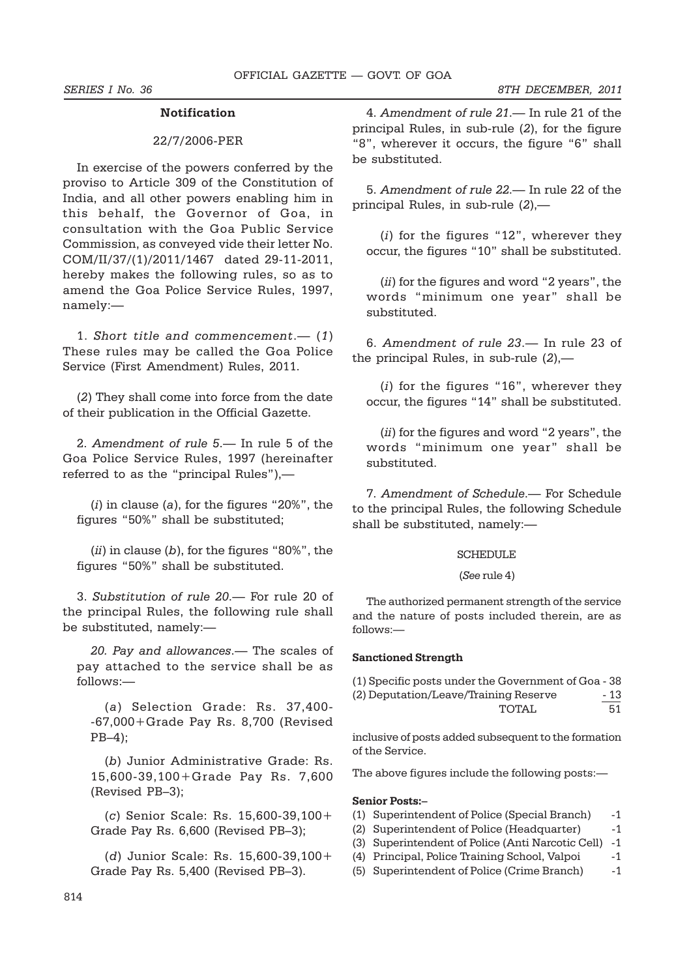# **Notification**

# 22/7/2006-PER

In exercise of the powers conferred by the proviso to Article 309 of the Constitution of India, and all other powers enabling him in this behalf, the Governor of Goa, in consultation with the Goa Public Service Commission, as conveyed vide their letter No. COM/II/37/(1)/2011/1467 dated 29-11-2011, hereby makes the following rules, so as to amend the Goa Police Service Rules, 1997, namely:—

1. *Short title and commencement*.— (*1*) These rules may be called the Goa Police Service (First Amendment) Rules, 2011.

(*2*) They shall come into force from the date of their publication in the Official Gazette.

2. *Amendment of rule 5*.— In rule 5 of the Goa Police Service Rules, 1997 (hereinafter referred to as the "principal Rules"),—

(*i*) in clause (*a*), for the figures "20%", the figures "50%" shall be substituted;

(*ii*) in clause (*b*), for the figures "80%", the figures "50%" shall be substituted.

3. *Substitution of rule 20*.— For rule 20 of the principal Rules, the following rule shall be substituted, namely:—

*20. Pay and allowances*.— The scales of pay attached to the service shall be as follows:—

(*a*) Selection Grade: Rs. 37,400- -67,000+Grade Pay Rs. 8,700 (Revised PB–4);

(*b*) Junior Administrative Grade: Rs. 15,600-39,100+Grade Pay Rs. 7,600 (Revised PB–3);

(*c*) Senior Scale: Rs. 15,600-39,100+ Grade Pay Rs. 6,600 (Revised PB–3);

(*d*) Junior Scale: Rs. 15,600-39,100+ Grade Pay Rs. 5,400 (Revised PB–3).

4. *Amendment of rule 21*.— In rule 21 of the principal Rules, in sub-rule (*2*), for the figure "8", wherever it occurs, the figure "6" shall be substituted.

5. *Amendment of rule 22*.— In rule 22 of the principal Rules, in sub-rule (*2*),—

(*i*) for the figures "12", wherever they occur, the figures "10" shall be substituted.

(*ii*) for the figures and word "2 years", the words "minimum one year" shall be substituted.

6. *Amendment of rule 23*.— In rule 23 of the principal Rules, in sub-rule (*2*),—

(*i*) for the figures "16", wherever they occur, the figures "14" shall be substituted.

(*ii*) for the figures and word "2 years", the words "minimum one year" shall be substituted.

7. *Amendment of Schedule*.— For Schedule to the principal Rules, the following Schedule shall be substituted, namely:—

# **SCHEDULE**

#### (*See* rule 4)

The authorized permanent strength of the service and the nature of posts included therein, are as follows:—

### **Sanctioned Strength**

| (1) Specific posts under the Government of Goa - 38 |      |
|-----------------------------------------------------|------|
| (2) Deputation/Leave/Training Reserve               | - 13 |
| TOTAI.                                              | 51   |

inclusive of posts added subsequent to the formation of the Service.

The above figures include the following posts:—

#### **Senior Posts:–**

- (1) Superintendent of Police (Special Branch) -1
- (2) Superintendent of Police (Headquarter) -1
- (3) Superintendent of Police (Anti Narcotic Cell) -1
- (4) Principal, Police Training School, Valpoi -1
- (5) Superintendent of Police (Crime Branch) -1